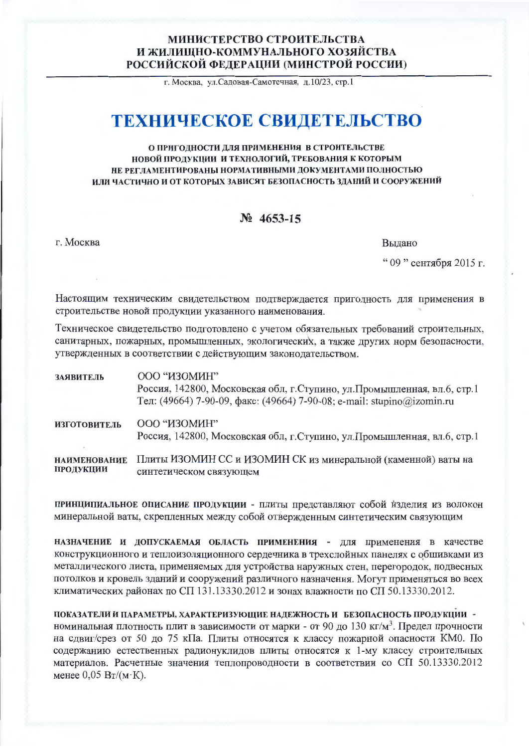## МИНИСТЕРСТВО СТРОИТЕЛЬСТВА И ЖИЛИШНО-КОММУНАЛЬНОГО ХОЗЯЙСТВА РОССИЙСКОЙ ФЕДЕРАЦИИ (МИНСТРОЙ РОССИИ)

г. Москва, ул. Садовая-Самотечная, д. 10/23, стр. 1

# ТЕХНИЧЕСКОЕ СВИДЕТЕЛЬСТВО

### О ПРИГОДНОСТИ ДЛЯ ПРИМЕНЕНИЯ В СТРОИТЕЛЬСТВЕ НОВОЙ ПРОДУКЦИИ И ТЕХНОЛОГИЙ, ТРЕБОВАНИЯ К КОТОРЫМ НЕ РЕГЛАМЕНТИРОВАНЫ НОРМАТИВНЫМИ ДОКУМЕНТАМИ ПОЛНОСТЬЮ ИЛИ ЧАСТИЧНО И ОТ КОТОРЫХ ЗАВИСЯТ БЕЗОПАСНОСТЬ ЗДАНИЙ И СООРУЖЕНИЙ

## $N_2$  4653-15

г. Москва

Вылано

" 09 " сентября 2015 г.

Настоящим техническим свидетельством подтверждается пригодность для применения в строительстве новой продукции указанного наименования.

Техническое свидетельство подготовлено с учетом обязательных требований строительных, санитарных, пожарных, промышленных, экологических, а также других норм безопасности, утвержденных в соответствии с действующим законодательством.

| ЗАЯВИТЕЛЬ                        | 000 "ИЗОМИН"<br>Россия, 142800, Московская обл, г. Ступино, ул. Промышленная, вл.6, стр.1<br>Тел: (49664) 7-90-09, факс: (49664) 7-90-08; e-mail: stupino@izomin.ru |
|----------------------------------|---------------------------------------------------------------------------------------------------------------------------------------------------------------------|
| <b>ИЗГОТОВИТЕЛЬ</b>              | 000 "ИЗОМИН"<br>Россия, 142800, Московская обл, г. Ступино, ул. Промышленная, вл.6, стр.1                                                                           |
| <b>НАИМЕНОВАНИЕ</b><br>ПРОДУКЦИИ | Плиты ИЗОМИН СС и ИЗОМИН СК из минеральной (каменной) ваты на<br>синтетическом связующем                                                                            |

принципиальное описание продукции - плиты представляют собой изделия из волокон минеральной ваты, скрепленных между собой отвержденным синтетическим связующим

НАЗНАЧЕНИЕ И ДОПУСКАЕМАЯ ОБЛАСТЬ ПРИМЕНЕНИЯ - ДЛЯ ПРИМенения в качестве конструкционного и теплоизоляционного сердечника в трехслойных панелях с обшивками из металлического листа, применяемых для устройства наружных стен, перегородок, подвесных потолков и кровель зданий и сооружений различного назначения. Могут применяться во всех климатических районах по СП 131.13330.2012 и зонах влажности по СП 50.13330.2012.

ПОКАЗАТЕЛИ И ПАРАМЕТРЫ, ХАРАКТЕРИЗУЮЩИЕ НАДЕЖНОСТЬ И БЕЗОПАСНОСТЬ ПРОДУКЦИИ номинальная плотность плит в зависимости от марки - от 90 до 130 кг/м<sup>3</sup>. Предел прочности на сдвиг/срез от 50 до 75 кПа. Плиты относятся к классу пожарной опасности КМ0. По содержанию естественных радионуклидов плиты относятся к 1-му классу строительных материалов. Расчетные значения теплопроводности в соответствии со СП 50.13330.2012 менее  $0,05$  Вт/(м $\cdot$ К).